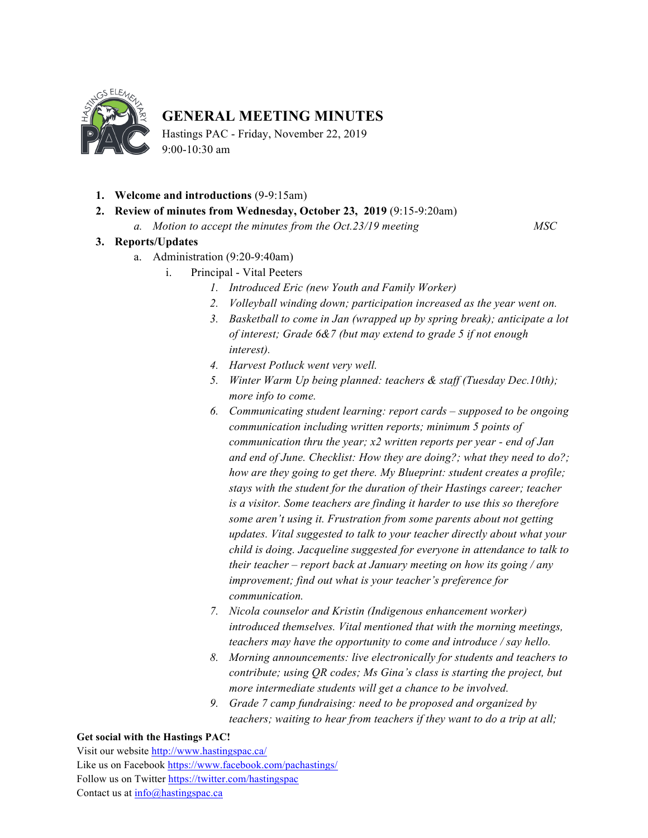

# **GENERAL MEETING MINUTES**

Hastings PAC - Friday, November 22, 2019  $9.00 - 10.30$  am

- **1. Welcome and introductions** (9-9:15am)
- **2. Review of minutes from Wednesday, October 23, 2019** (9:15-9:20am)
	- *a. Motion to accept the minutes from the Oct.23/19 meeting MSC*

## **3. Reports/Updates**

- a. Administration (9:20-9:40am)
	- i. Principal Vital Peeters
		- *1. Introduced Eric (new Youth and Family Worker)*
		- *2. Volleyball winding down; participation increased as the year went on.*
		- *3. Basketball to come in Jan (wrapped up by spring break); anticipate a lot of interest; Grade 6&7 (but may extend to grade 5 if not enough interest).*
		- *4. Harvest Potluck went very well.*
		- *5. Winter Warm Up being planned: teachers & staff (Tuesday Dec.10th); more info to come.*
		- *6. Communicating student learning: report cards – supposed to be ongoing communication including written reports; minimum 5 points of communication thru the year; x2 written reports per year - end of Jan and end of June. Checklist: How they are doing?; what they need to do?; how are they going to get there. My Blueprint: student creates a profile; stays with the student for the duration of their Hastings career; teacher is a visitor. Some teachers are finding it harder to use this so therefore some aren't using it. Frustration from some parents about not getting updates. Vital suggested to talk to your teacher directly about what your child is doing. Jacqueline suggested for everyone in attendance to talk to their teacher – report back at January meeting on how its going / any improvement; find out what is your teacher's preference for communication.*
		- *7. Nicola counselor and Kristin (Indigenous enhancement worker) introduced themselves. Vital mentioned that with the morning meetings, teachers may have the opportunity to come and introduce / say hello.*
		- *8. Morning announcements: live electronically for students and teachers to contribute; using QR codes; Ms Gina's class is starting the project, but more intermediate students will get a chance to be involved.*
		- *9. Grade 7 camp fundraising: need to be proposed and organized by teachers; waiting to hear from teachers if they want to do a trip at all;*

#### **Get social with the Hastings PAC!**

Visit our website http://www.hastingspac.ca/ Like us on Facebook https://www.facebook.com/pachastings/ Follow us on Twitter https://twitter.com/hastingspac Contact us at info@hastingspac.ca